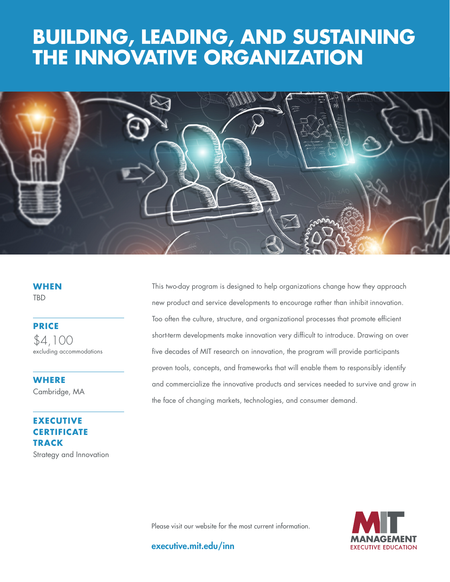# **THE INNOVATIVE ORGANIZATION BUILDING, LEADING, AND SUSTAINING**



**WHEN TBD** 

**PRICE**

\$4,100 excluding accommodations

**WHERE**  Cambridge, MA

**EXECUTIVE CERTIFICATE TRACK** Strategy and Innovation This two-day program is designed to help organizations change how they approach new product and service developments to encourage rather than inhibit innovation. Too often the culture, structure, and organizational processes that promote efficient short-term developments make innovation very difficult to introduce. Drawing on over five decades of MIT research on innovation, the program will provide participants proven tools, concepts, and frameworks that will enable them to responsibly identify and commercialize the innovative products and services needed to survive and grow in the face of changing markets, technologies, and consumer demand.



Please visit our website for the most current information.

executive.mit.edu/inn